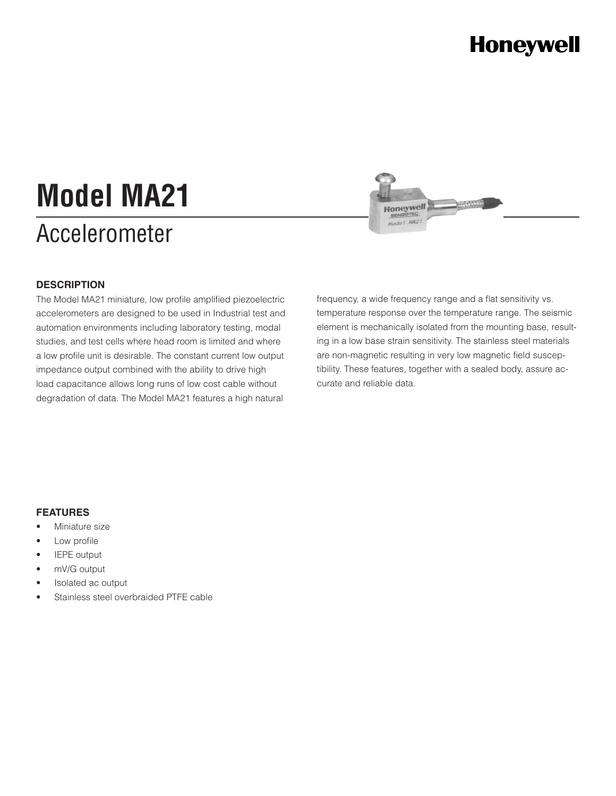### **Honeywell**

# Accelerometer **Model MA21**



#### **DESCRIPTION**

The Model MA21 miniature, low profile amplified piezoelectric accelerometers are designed to be used in Industrial test and automation environments including laboratory testing, modal studies, and test cells where head room is limited and where a low profile unit is desirable. The constant current low output impedance output combined with the ability to drive high load capacitance allows long runs of low cost cable without degradation of data. The Model MA21 features a high natural

frequency, a wide frequency range and a flat sensitivity vs. temperature response over the temperature range. The seismic element is mechanically isolated from the mounting base, resulting in a low base strain sensitivity. The stainless steel materials are non-magnetic resulting in very low magnetic field susceptibility. These features, together with a sealed body, assure accurate and reliable data.

#### **FEATURES**

- Miniature size
- Low profile
- **IEPE** output
- mV/G output
- Isolated ac output
- Stainless steel overbraided PTFE cable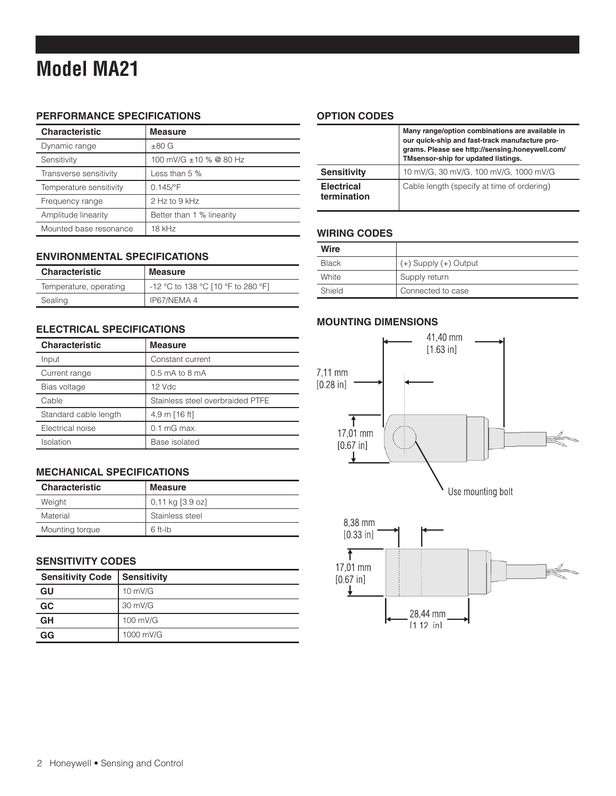### **Model MA21**

#### **PERFORMANCE SPECIFICATIONS**

| <b>Characteristic</b>   | <b>Measure</b>            |
|-------------------------|---------------------------|
| Dynamic range           | $\pm 80$ G                |
| Sensitivity             | 100 mV/G ±10 % @ 80 Hz    |
| Transverse sensitivity  | Less than $5%$            |
| Temperature sensitivity | $0.145$ /°F               |
| Frequency range         | 2 Hz to 9 kHz             |
| Amplitude linearity     | Better than 1 % linearity |
| Mounted base resonance  | 18 kHz                    |

#### **ENVIRONMENTAL SPECIFICATIONS**

| <b>Characteristic</b>  | <b>Measure</b>                     |
|------------------------|------------------------------------|
| Temperature, operating | -12 °C to 138 °C [10 °F to 280 °F] |
| Sealing                | IP67/NEMA 4                        |

#### **ELECTRICAL SPECIFICATIONS**

| <b>Characteristic</b> | <b>Measure</b>                   |
|-----------------------|----------------------------------|
| Input                 | Constant current                 |
| Current range         | $0.5$ mA to 8 mA                 |
| Bias voltage          | 12 Vdc                           |
| Cable                 | Stainless steel overbraided PTFE |
| Standard cable length | 4,9 m [16 ft]                    |
| Electrical noise      | $0.1$ mG max.                    |
| Isolation             | Base isolated                    |

#### **MECHANICAL SPECIFICATIONS**

| <b>Characteristic</b> | <b>Measure</b>   |
|-----------------------|------------------|
| Weight                | 0.11 kg [3.9 oz] |
| Material              | Stainless steel  |
| Mounting torque       | $6$ ft-lb        |

#### **SENSITIVITY CODES**

| <b>Sensitivity Code</b> | Sensitivity       |
|-------------------------|-------------------|
| GU                      | $10 \text{ mV/G}$ |
| GC                      | 30 mV/G           |
| GH                      | 100 mV/G          |
| GG                      | 1000 mV/G         |

#### **OPTION CODES**

|                                  | Many range/option combinations are available in<br>our quick-ship and fast-track manufacture pro-<br>grams. Please see http://sensing.honeywell.com/<br>TMsensor-ship for updated listings. |
|----------------------------------|---------------------------------------------------------------------------------------------------------------------------------------------------------------------------------------------|
| <b>Sensitivity</b>               | 10 mV/G, 30 mV/G, 100 mV/G, 1000 mV/G                                                                                                                                                       |
| <b>Electrical</b><br>termination | Cable length (specify at time of ordering)                                                                                                                                                  |

#### **WIRING CODES**

| Wire   |                           |
|--------|---------------------------|
| Black  | $(+)$ Supply $(+)$ Output |
| White  | Supply return             |
| Shield | Connected to case         |

#### **MOUNTING DIMENSIONS**